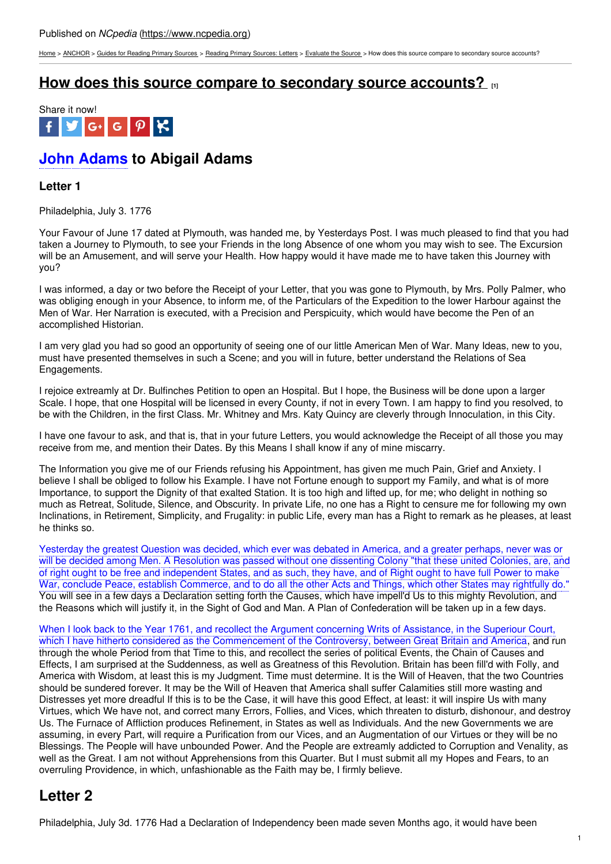[Home](https://www.ncpedia.org/) > [ANCHOR](https://www.ncpedia.org/anchor/anchor) > Guides for [Reading](https://www.ncpedia.org/anchor/guides-reading-primary) Primary Sources > Reading Primary [Sources:](https://www.ncpedia.org/anchor/reading-primary-sources-2) Letters > [Evaluate](https://www.ncpedia.org/anchor/evaluate-source-0) the Source > How does this source compare to secondary source accounts?

### **How does this source compare to [secondary](https://www.ncpedia.org/anchor/how-does-source-compare-6) source accounts? [1]**



# **John Adams to Abigail Adams**

### **Letter 1**

Philadelphia, July 3. 1776

Your Favour of June 17 dated at Plymouth, was handed me, by Yesterdays Post. I was much pleased to find that you had taken a Journey to Plymouth, to see your Friends in the long Absence of one whom you may wish to see. The Excursion will be an Amusement, and will serve your Health. How happy would it have made me to have taken this Journey with you?

I was informed, a day or two before the Receipt of your Letter, that you was gone to Plymouth, by Mrs. Polly Palmer, who was obliging enough in your Absence, to inform me, of the Particulars of the Expedition to the lower Harbour against the Men of War. Her Narration is executed, with a Precision and Perspicuity, which would have become the Pen of an accomplished Historian.

I am very glad you had so good an opportunity of seeing one of our little American Men of War. Many Ideas, new to you, must have presented themselves in such a Scene; and you will in future, better understand the Relations of Sea Engagements.

I rejoice extreamly at Dr. Bulfinches Petition to open an Hospital. But I hope, the Business will be done upon a larger Scale. I hope, that one Hospital will be licensed in every County, if not in every Town. I am happy to find you resolved, to be with the Children, in the first Class. Mr. Whitney and Mrs. Katy Quincy are cleverly through Innoculation, in this City.

I have one favour to ask, and that is, that in your future Letters, you would acknowledge the Receipt of all those you may receive from me, and mention their Dates. By this Means I shall know if any of mine miscarry.

The Information you give me of our Friends refusing his Appointment, has given me much Pain, Grief and Anxiety. I believe I shall be obliged to follow his Example. I have not Fortune enough to support my Family, and what is of more Importance, to support the Dignity of that exalted Station. It is too high and lifted up, for me; who delight in nothing so much as Retreat, Solitude, Silence, and Obscurity. In private Life, no one has a Right to censure me for following my own Inclinations, in Retirement, Simplicity, and Frugality: in public Life, every man has a Right to remark as he pleases, at least he thinks so.

Yesterday the greatest Question was decided, which ever was debated in America, and a greater perhaps, never was or will be decided among Men. A Resolution was passed without one dissenting Colony "that these united Colonies, are, and of right ought to be free and independent States, and as such, they have, and of Right ought to have full Power to make War, conclude Peace, establish Commerce, and to do all the other Acts and Things, which other States may rightfully do." You will see in a few days a Declaration setting forth the Causes, which have impell'd Us to this mighty Revolution, and the Reasons which will justify it, in the Sight of God and Man. A Plan of Confederation will be taken up in a few days.

When I look back to the Year 1761, and recollect the Argument concerning Writs of Assistance, in the Superiour Court, which I have hitherto considered as the Commencement of the Controversy, between Great Britain and America, and run through the whole Period from that Time to this, and recollect the series of political Events, the Chain of Causes and Effects, I am surprised at the Suddenness, as well as Greatness of this Revolution. Britain has been fill'd with Folly, and America with Wisdom, at least this is my Judgment. Time must determine. It is the Will of Heaven, that the two Countries should be sundered forever. It may be the Will of Heaven that America shall suffer Calamities still more wasting and Distresses yet more dreadful If this is to be the Case, it will have this good Effect, at least: it will inspire Us with many Virtues, which We have not, and correct many Errors, Follies, and Vices, which threaten to disturb, dishonour, and destroy Us. The Furnace of Affliction produces Refinement, in States as well as Individuals. And the new Governments we are assuming, in every Part, will require a Purification from our Vices, and an Augmentation of our Virtues or they will be no Blessings. The People will have unbounded Power. And the People are extreamly addicted to Corruption and Venality, as well as the Great. I am not without Apprehensions from this Quarter. But I must submit all my Hopes and Fears, to an overruling Providence, in which, unfashionable as the Faith may be, I firmly believe.

## **Letter 2**

Philadelphia, July 3d. 1776 Had a Declaration of Independency been made seven Months ago, it would have been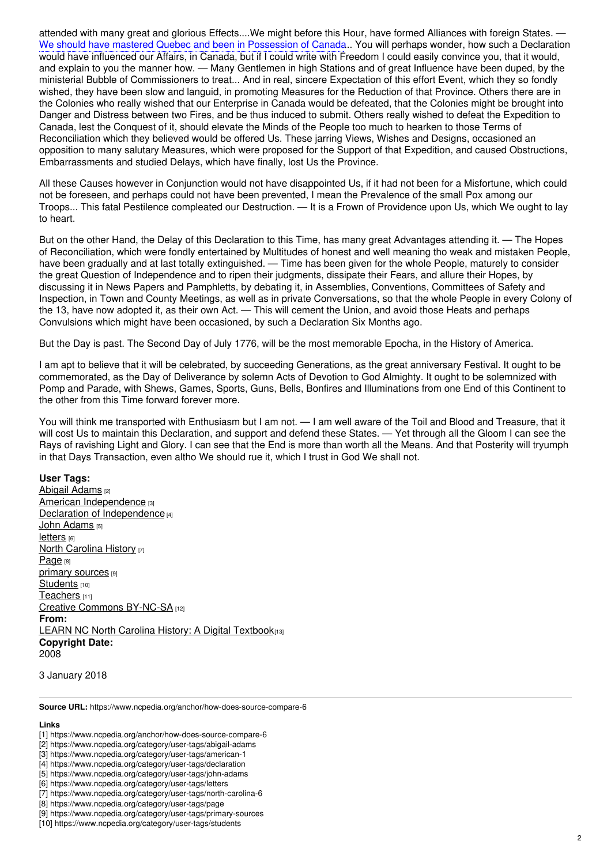attended with many great and glorious Effects....We might before this Hour, have formed Alliances with foreign States. We should have mastered Quebec and been in Possession of Canada... You will perhaps wonder, how such a Declaration would have influenced our Affairs, in Canada, but if I could write with Freedom I could easily convince you, that it would, and explain to you the manner how. — Many Gentlemen in high Stations and of great Influence have been duped, by the ministerial Bubble of Commissioners to treat... And in real, sincere Expectation of this effort Event, which they so fondly wished, they have been slow and languid, in promoting Measures for the Reduction of that Province. Others there are in the Colonies who really wished that our Enterprise in Canada would be defeated, that the Colonies might be brought into Danger and Distress between two Fires, and be thus induced to submit. Others really wished to defeat the Expedition to Canada, lest the Conquest of it, should elevate the Minds of the People too much to hearken to those Terms of Reconciliation which they believed would be offered Us. These jarring Views, Wishes and Designs, occasioned an opposition to many salutary Measures, which were proposed for the Support of that Expedition, and caused Obstructions, Embarrassments and studied Delays, which have finally, lost Us the Province.

All these Causes however in Conjunction would not have disappointed Us, if it had not been for a Misfortune, which could not be foreseen, and perhaps could not have been prevented, I mean the Prevalence of the small Pox among our Troops... This fatal Pestilence compleated our Destruction. — It is a Frown of Providence upon Us, which We ought to lay to heart.

But on the other Hand, the Delay of this Declaration to this Time, has many great Advantages attending it. — The Hopes of Reconciliation, which were fondly entertained by Multitudes of honest and well meaning tho weak and mistaken People, have been gradually and at last totally extinguished. — Time has been given for the whole People, maturely to consider the great Question of Independence and to ripen their judgments, dissipate their Fears, and allure their Hopes, by discussing it in News Papers and Pamphletts, by debating it, in Assemblies, Conventions, Committees of Safety and Inspection, in Town and County Meetings, as well as in private Conversations, so that the whole People in every Colony of the 13, have now adopted it, as their own Act. — This will cement the Union, and avoid those Heats and perhaps Convulsions which might have been occasioned, by such a Declaration Six Months ago.

But the Day is past. The Second Day of July 1776, will be the most memorable Epocha, in the History of America.

I am apt to believe that it will be celebrated, by succeeding Generations, as the great anniversary Festival. It ought to be commemorated, as the Day of Deliverance by solemn Acts of Devotion to God Almighty. It ought to be solemnized with Pomp and Parade, with Shews, Games, Sports, Guns, Bells, Bonfires and Illuminations from one End of this Continent to the other from this Time forward forever more.

You will think me transported with Enthusiasm but I am not. — I am well aware of the Toil and Blood and Treasure, that it will cost Us to maintain this Declaration, and support and defend these States. — Yet through all the Gloom I can see the Rays of ravishing Light and Glory. I can see that the End is more than worth all the Means. And that Posterity will tryumph in that Days Transaction, even altho We should rue it, which I trust in God We shall not.

#### **User Tags:**

[Abigail](https://www.ncpedia.org/category/user-tags/abigail-adams) Adams [2] American [Independence](https://www.ncpedia.org/category/user-tags/american-1) [3] Declaration of [Independence](https://www.ncpedia.org/category/user-tags/declaration) [4] John [Adams](https://www.ncpedia.org/category/user-tags/john-adams) [5] **[letters](https://www.ncpedia.org/category/user-tags/letters)** [6] **North [Carolina](https://www.ncpedia.org/category/user-tags/north-carolina-6) History [7]** [Page](https://www.ncpedia.org/category/user-tags/page) [8] primary [sources](https://www.ncpedia.org/category/user-tags/primary-sources) [9] [Students](https://www.ncpedia.org/category/user-tags/students) [10] [Teachers](https://www.ncpedia.org/category/user-tags/teachers) [11] Creative Commons [BY-NC-SA](https://www.ncpedia.org/category/user-tags/creative-commons) [12] **From:** LEARN NC North Carolina History: A Digital [Textbook](https://www.ncpedia.org/category/entry-source/learn-nc)[13] **Copyright Date:** 2008

3 January 2018

**Source URL:** https://www.ncpedia.org/anchor/how-does-source-compare-6

#### **Links**

- [1] https://www.ncpedia.org/anchor/how-does-source-compare-6
- [2] https://www.ncpedia.org/category/user-tags/abigail-adams
- [3] https://www.ncpedia.org/category/user-tags/american-1
- [4] https://www.ncpedia.org/category/user-tags/declaration
- [5] https://www.ncpedia.org/category/user-tags/john-adams
- [6] https://www.ncpedia.org/category/user-tags/letters
- [7] https://www.ncpedia.org/category/user-tags/north-carolina-6
- [8] https://www.ncpedia.org/category/user-tags/page
- [9] https://www.ncpedia.org/category/user-tags/primary-sources
- [10] https://www.ncpedia.org/category/user-tags/students